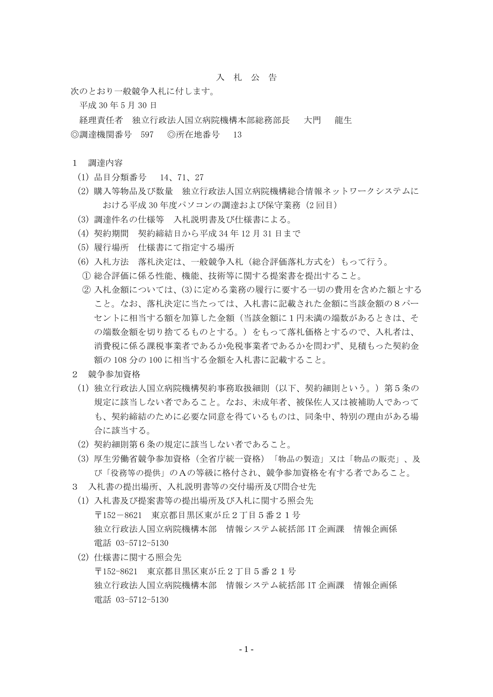## 入 札 公 告

次のとおり一般競争入札に付します。

平成 30 年 5 月 30 日

経理責任者 独立行政法人国立病院機構本部総務部長 大門 龍生 ◎調達機関番号 597 ◎所在地番号 13

## 1 調達内容

- (1) 品目分類番号 14、71、27
- (2) 購入等物品及び数量 独立行政法人国立病院機構総合情報ネットワークシステムに おける平成 30年度パソコンの調達および保守業務(2回目)
- (3) 調達件名の仕様等 入札説明書及び仕様書による。
- (4) 契約期間 契約締結日から平成 34 年 12 月 31 日まで
- (5) 履行場所 仕様書にて指定する場所
- (6) 入札方法 落札決定は、一般競争入札(総合評価落札方式を)もって行う。
- ① 総合評価に係る性能、機能、技術等に関する提案書を提出すること。
- ② 入札金額については、(3)に定める業務の履行に要する一切の費用を含めた額とする こと。なお、落札決定に当たっては、入札書に記載された金額に当該金額の8パー セントに相当する額を加算した金額(当該金額に1円未満の端数があるときは、そ の端数金額を切り捨てるものとする。)をもって落札価格とするので、入札者は、 消費税に係る課税事業者であるか免税事業者であるかを問わず、見積もった契約金 額の 108 分の 100 に相当する金額を入札書に記載すること。
- 2 競争参加資格
	- (1) 独立行政法人国立病院機構契約事務取扱細則(以下、契約細則という。)第5条の 規定に該当しない者であること。なお、未成年者、被保佐人又は被補助人であって も、契約締結のために必要な同意を得ているものは、同条中、特別の理由がある場 合に該当する。
	- (2) 契約細則第6条の規定に該当しない者であること。
	- (3) 厚生労働省競争参加資格(全省庁統一資格)「物品の製造」又は「物品の販売」、及 び「役務等の提供」のAの等級に格付され、競争参加資格を有する者であること。
- 3 入札書の提出場所、入札説明書等の交付場所及び問合せ先
- (1) 入札書及び提案書等の提出場所及び入札に関する照会先 〒152-8621 東京都目黒区東が丘2丁目5番21号 独立行政法人国立病院機構本部 情報システム統括部 IT 企画課 情報企画係 電話 03-5712-5130
- (2) 仕様書に関する照会先 〒152-8621 東京都目黒区東が丘2丁目5番21号 独立行政法人国立病院機構本部 情報システム統括部 IT 企画課 情報企画係 電話 03-5712-5130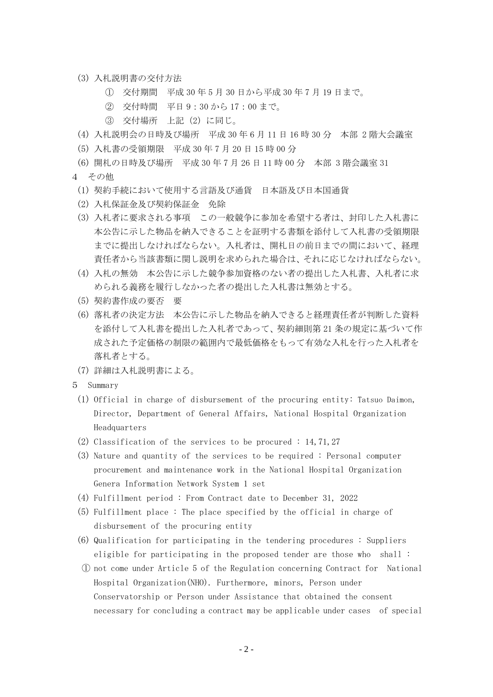- (3) 入札説明書の交付方法
	- ① 交付期間 平成 30 年 5 月 30 日から平成 30 年 7 月 19 日まで。
	- ② 交付時間 平日 9:30 から 17:00 まで。
	- ③ 交付場所 上記(2)に同じ。
- (4) 入札説明会の日時及び場所 平成 30 年 6 月 11 日 16 時 30 分 本部 2 階大会議室
- (5) 入札書の受領期限 平成 30 年 7 月 20 日 15 時 00 分
- (6) 開札の日時及び場所 平成 30 年 7 月 26 日 11 時 00 分 本部 3 階会議室 31
- 4 その他
	- (1) 契約手続において使用する言語及び通貨 日本語及び日本国通貨
	- (2) 入札保証金及び契約保証金 免除
	- (3) 入札者に要求される事項 この一般競争に参加を希望する者は、封印した入札書に 本公告に示した物品を納入できることを証明する書類を添付して入札書の受領期限 までに提出しなければならない。入札者は、開札日の前日までの間において、経理 責任者から当該書類に関し説明を求められた場合は、それに応じなければならない。
	- (4) 入札の無効 本公告に示した競争参加資格のない者の提出した入札書、入札者に求 められる義務を履行しなかった者の提出した入札書は無効とする。
	- (5) 契約書作成の要否 要
	- (6) 落札者の決定方法 本公告に示した物品を納入できると経理責任者が判断した資料 を添付して入札書を提出した入札者であって、契約細則第 21 条の規定に基づいて作 成された予定価格の制限の範囲内で最低価格をもって有効な入札を行った入札者を 落札者とする。
	- (7) 詳細は入札説明書による。
- 5 Summary
- (1) Official in charge of disbursement of the procuring entity: Tatsuo Daimon, Director, Department of General Affairs, National Hospital Organization Headquarters
- (2) Classification of the services to be procured : 14, 71, 27
- (3) Nature and quantity of the services to be required : Personal computer procurement and maintenance work in the National Hospital Organization Genera Information Network System 1 set
- (4) Fulfillment period : From Contract date to December 31, 2022
- (5) Fulfillment place : The place specified by the official in charge of disbursement of the procuring entity
- (6) Qualification for participating in the tendering procedures : Suppliers eligible for participating in the proposed tender are those who shall :
- ① not come under Article 5 of the Regulation concerning Contract for National Hospital Organization(NHO). Furthermore, minors, Person under Conservatorship or Person under Assistance that obtained the consent necessary for concluding a contract may be applicable under cases of special